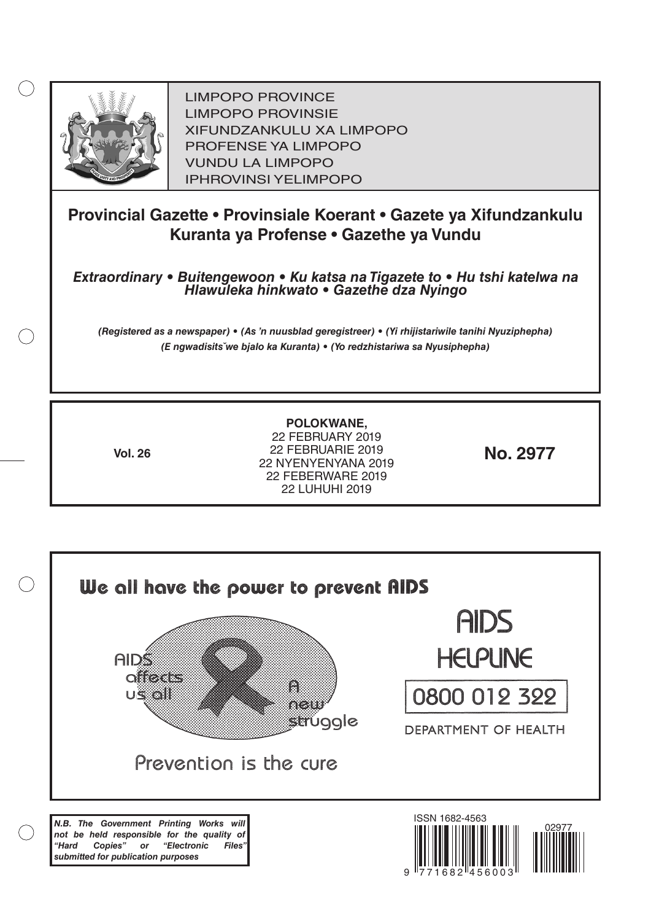

LIMPOPO PROVINCE LIMPOPO PROVINSIE XIFUNDZANKULU XA LIMPOPO PROFENSE YA LIMPOPO VUNDU LA LIMPOPO IPHROVINSI YELIMPOPO

# **Provincial Gazette • Provinsiale Koerant • Gazete ya Xifundzankulu Kuranta ya Profense • Gazethe ya Vundu**

*Extraordinary • Buitengewoon • Ku katsa na Tigazete to • Hu tshi katelwa na Hlawuleka hinkwato • Gazethe dza Nyingo*

*(Registered as a newspaper) • (As 'n nuusblad geregistreer) • (Yi rhijistariwile tanihi Nyuziphepha) (E ngwadisitsˇwe bjalo ka Kuranta) • (Yo redzhistariwa sa Nyusiphepha)*

**POLOKWANE,** 22 FEBRUARY 2019 22 FEBRUARIE 2019 **Vol. 26 No. 2977** 22 NYENYENYANA 2019 22 FEBERWARE 2019 22 LUHUHI 2019

9 <sup>11</sup>771682 <sup>11</sup>456003

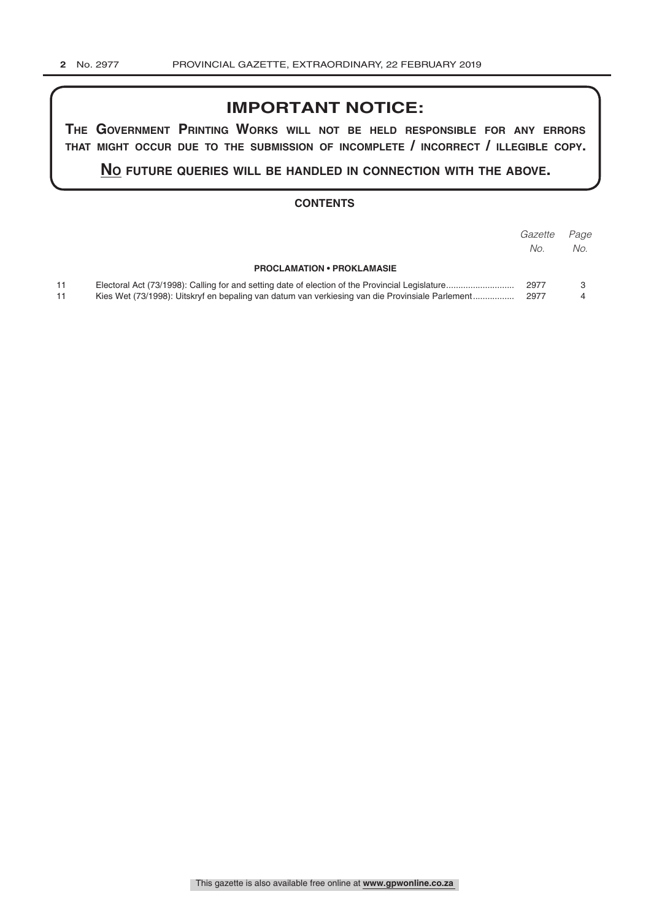# **IMPORTANT NOTICE:**

**The GovernmenT PrinTinG Works Will noT be held resPonsible for any errors ThaT miGhT occur due To The submission of incomPleTe / incorrecT / illeGible coPy.**

**no fuTure queries Will be handled in connecTion WiTh The above.**

### **CONTENTS**

|                                   | Gazette | Page                                                                                            |
|-----------------------------------|---------|-------------------------------------------------------------------------------------------------|
|                                   | No.     | No.                                                                                             |
| <b>PROCLAMATION • PROKLAMASIE</b> |         |                                                                                                 |
|                                   | 2977    |                                                                                                 |
|                                   | 2977    |                                                                                                 |
|                                   |         | Kies Wet (73/1998): Uitskryf en bepaling van datum van verkiesing van die Provinsiale Parlement |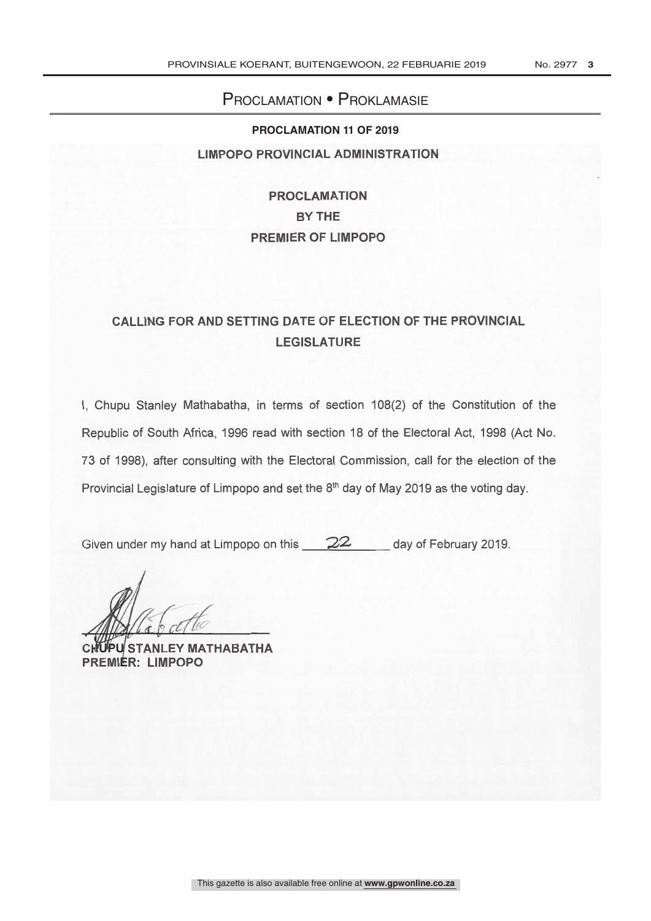## Proclamation • Proklamasie

### **PROCLAMATION 11 OF 2019**

## **LIMPOPO PROVINCIAL ADMINISTRATION**

**PROCLAMATION** BY THE **PREMIER OF LIMPOPO** 

## CALLING FOR AND SETTING DATE OF ELECTION OF THE PROVINCIAL **LEGISLATURE**

I, Chupu Stanley Mathabatha, in terms of section 108(2) of the Constitution of the Republic of South Africa, 1996 read with section 18 of the Electoral Act, 1998 (Act No. 73 of 1998), after consulting with the Electoral Commission, call for the election of the Provincial Legislature of Limpopo and set the 8<sup>th</sup> day of May 2019 as the voting day.

Given under my hand at Limpopo on this  $22$  day of February 2019.

**STANLEY MATHABATHA PREMIER: LIMPOPO**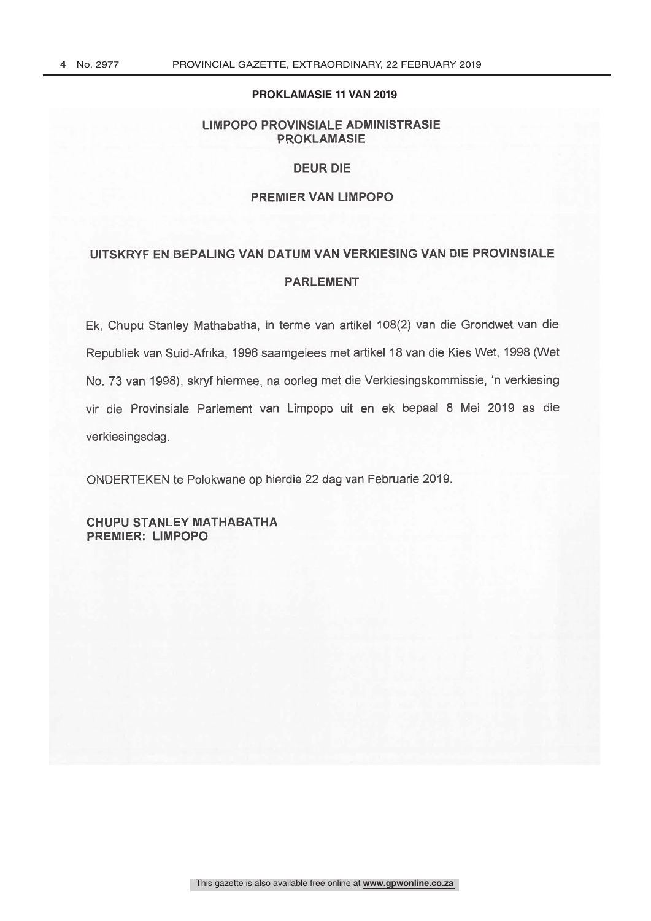### **PROKLAMASIE 11 VAN 2019**

## **LIMPOPO PROVINSIALE ADMINISTRASIE PROKLAMASIE**

#### **DEUR DIE**

## PREMIER VAN LIMPOPO

# UITSKRYF EN BEPALING VAN DATUM VAN VERKIESING VAN DIE PROVINSIALE **PARLEMENT**

Ek, Chupu Stanley Mathabatha, in terme van artikel 108(2) van die Grondwet van die Republiek van Suid -Afrika, 1996 saamgelees met artikel 18 van die Kies Wet, 1998 (Wet No. 73 van 1998), skryf hiermee, na oorleg met die Verkiesingskommissie, `n verkiesing vir die Provinsiale Parlement van Limpopo uit en ek bepaal 8 Mei 2019 as die verkiesingsdag.

ONDERTEKEN te Polokwane op hierdie 22 dag van Februarie 2019.

CHUPU STANLEY MATHABATHA **PREMIER: LIMPOPO**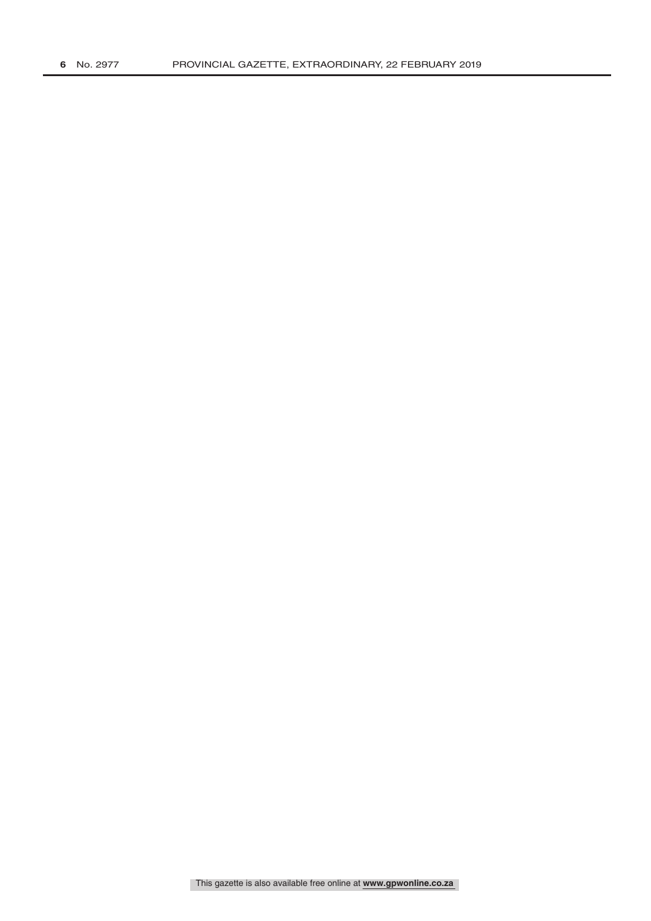This gazette is also available free online at **www.gpwonline.co.za**